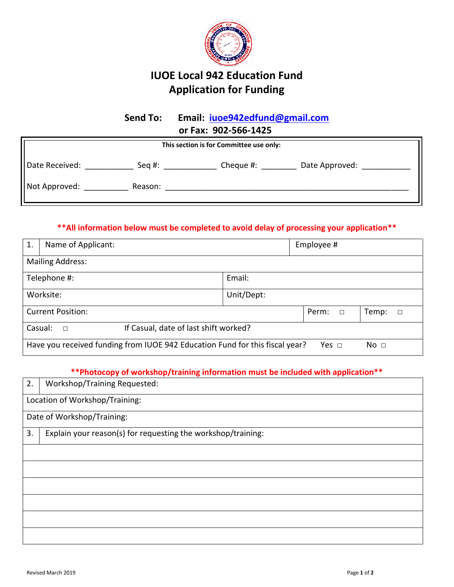

# **IUOE Local 942 Education Fund Application for Funding**

# **Send To: Email: [iuoe942edfund@gmail.com](mailto:iuoe942edfund@gmail.com) or Fax: 902-566-1425**

| This section is for Committee use only: |         |                             |  |
|-----------------------------------------|---------|-----------------------------|--|
| Date Received:                          | Seg #:  | Cheque #:<br>Date Approved: |  |
| Not Approved:                           | Reason: |                             |  |

## **\*\*All information below must be completed to avoid delay of processing your application\*\***

| 1.                                                         | Name of Applicant:                                                           |            | Employee #      |                 |  |
|------------------------------------------------------------|------------------------------------------------------------------------------|------------|-----------------|-----------------|--|
|                                                            | <b>Mailing Address:</b>                                                      |            |                 |                 |  |
|                                                            | Telephone #:                                                                 | Email:     |                 |                 |  |
|                                                            | Worksite:                                                                    | Unit/Dept: |                 |                 |  |
|                                                            | <b>Current Position:</b>                                                     |            | Perm:<br>$\Box$ | Temp:<br>$\Box$ |  |
| If Casual, date of last shift worked?<br>Casual:<br>$\Box$ |                                                                              |            |                 |                 |  |
|                                                            | Have you received funding from IUOE 942 Education Fund for this fiscal year? |            | Yes $\Box$      | No <sub>1</sub> |  |

**\*\*Photocopy of workshop/training information must be included with application\*\***

| 2. | Workshop/Training Requested:                                 |  |  |
|----|--------------------------------------------------------------|--|--|
|    | Location of Workshop/Training:                               |  |  |
|    | Date of Workshop/Training:                                   |  |  |
| 3. | Explain your reason(s) for requesting the workshop/training: |  |  |
|    |                                                              |  |  |
|    |                                                              |  |  |
|    |                                                              |  |  |
|    |                                                              |  |  |
|    |                                                              |  |  |
|    |                                                              |  |  |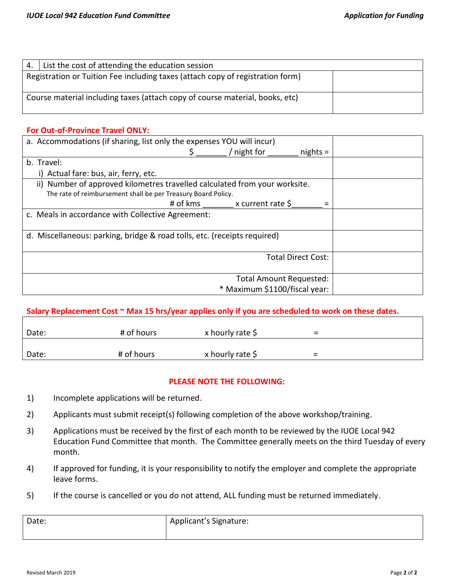| 4.                                                                           | List the cost of attending the education session                               |  |
|------------------------------------------------------------------------------|--------------------------------------------------------------------------------|--|
|                                                                              | Registration or Tuition Fee including taxes (attach copy of registration form) |  |
| Course material including taxes (attach copy of course material, books, etc) |                                                                                |  |

### **For Out-of-Province Travel ONLY:**

| a. Accommodations (if sharing, list only the expenses YOU will incur)      |                                   |                           |  |
|----------------------------------------------------------------------------|-----------------------------------|---------------------------|--|
|                                                                            | ' night for                       | $nights =$                |  |
| b. Travel:                                                                 |                                   |                           |  |
| i) Actual fare: bus, air, ferry, etc.                                      |                                   |                           |  |
| ii) Number of approved kilometres travelled calculated from your worksite. |                                   |                           |  |
| The rate of reimbursement shall be per Treasury Board Policy.              |                                   |                           |  |
|                                                                            | # of kms $x$ current rate $\zeta$ |                           |  |
| c. Meals in accordance with Collective Agreement:                          |                                   |                           |  |
|                                                                            |                                   |                           |  |
| d. Miscellaneous: parking, bridge & road tolls, etc. (receipts required)   |                                   |                           |  |
|                                                                            |                                   |                           |  |
|                                                                            |                                   | <b>Total Direct Cost:</b> |  |
|                                                                            |                                   |                           |  |
|                                                                            | Total Amount Requested:           |                           |  |
|                                                                            | * Maximum \$1100/fiscal year:     |                           |  |

### **Salary Replacement Cost ~ Max 15 hrs/year applies only if you are scheduled to work on these dates.**

| Date: | # of hours | x hourly rate \$ | =                        |
|-------|------------|------------------|--------------------------|
|       |            |                  |                          |
| Date: | # of hours | x hourly rate \$ | $\overline{\phantom{0}}$ |

#### **PLEASE NOTE THE FOLLOWING:**

- 1) Incomplete applications will be returned.
- 2) Applicants must submit receipt(s) following completion of the above workshop/training.
- 3) Applications must be received by the first of each month to be reviewed by the IUOE Local 942 Education Fund Committee that month. The Committee generally meets on the third Tuesday of every month.
- 4) If approved for funding, it is your responsibility to notify the employer and complete the appropriate leave forms.
- 5) If the course is cancelled or you do not attend, ALL funding must be returned immediately.

| Date: | Applicant's Signature: |
|-------|------------------------|
|       |                        |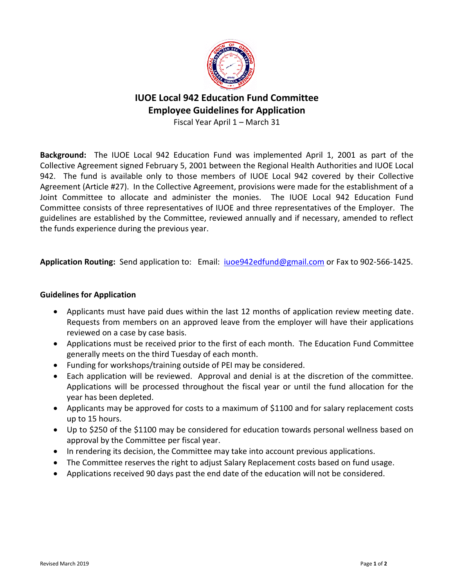

# **IUOE Local 942 Education Fund Committee Employee Guidelines for Application**

Fiscal Year April 1 – March 31

**Background:** The IUOE Local 942 Education Fund was implemented April 1, 2001 as part of the Collective Agreement signed February 5, 2001 between the Regional Health Authorities and IUOE Local 942. The fund is available only to those members of IUOE Local 942 covered by their Collective Agreement (Article #27). In the Collective Agreement, provisions were made for the establishment of a Joint Committee to allocate and administer the monies. The IUOE Local 942 Education Fund Committee consists of three representatives of IUOE and three representatives of the Employer. The guidelines are established by the Committee, reviewed annually and if necessary, amended to reflect the funds experience during the previous year.

**Application Routing:** Send application to: Email: [iuoe942edfund@gmail.com](mailto:iuoe942edfund@gmail.com) or Fax to 902-566-1425.

### **Guidelines for Application**

- Applicants must have paid dues within the last 12 months of application review meeting date. Requests from members on an approved leave from the employer will have their applications reviewed on a case by case basis.
- Applications must be received prior to the first of each month. The Education Fund Committee generally meets on the third Tuesday of each month.
- Funding for workshops/training outside of PEI may be considered.
- Each application will be reviewed. Approval and denial is at the discretion of the committee. Applications will be processed throughout the fiscal year or until the fund allocation for the year has been depleted.
- Applicants may be approved for costs to a maximum of \$1100 and for salary replacement costs up to 15 hours.
- Up to \$250 of the \$1100 may be considered for education towards personal wellness based on approval by the Committee per fiscal year.
- In rendering its decision, the Committee may take into account previous applications.
- The Committee reserves the right to adjust Salary Replacement costs based on fund usage.
- Applications received 90 days past the end date of the education will not be considered.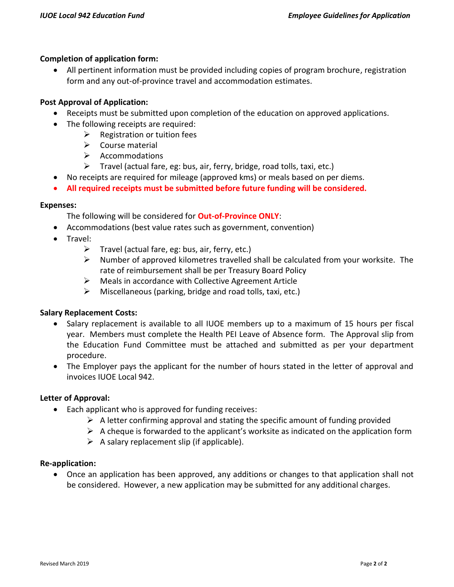## **Completion of application form:**

 All pertinent information must be provided including copies of program brochure, registration form and any out-of-province travel and accommodation estimates.

## **Post Approval of Application:**

- Receipts must be submitted upon completion of the education on approved applications.
- The following receipts are required:
	- $\triangleright$  Registration or tuition fees
	- $\triangleright$  Course material
	- $\triangleright$  Accommodations
	- $\triangleright$  Travel (actual fare, eg: bus, air, ferry, bridge, road tolls, taxi, etc.)
- No receipts are required for mileage (approved kms) or meals based on per diems.
- **All required receipts must be submitted before future funding will be considered.**

#### **Expenses:**

The following will be considered for **Out-of-Province ONLY**:

- Accommodations (best value rates such as government, convention)
- Travel:
	- $\triangleright$  Travel (actual fare, eg: bus, air, ferry, etc.)
	- $\triangleright$  Number of approved kilometres travelled shall be calculated from your worksite. The rate of reimbursement shall be per Treasury Board Policy
	- Meals in accordance with Collective Agreement Article
	- $\triangleright$  Miscellaneous (parking, bridge and road tolls, taxi, etc.)

### **Salary Replacement Costs:**

- Salary replacement is available to all IUOE members up to a maximum of 15 hours per fiscal year. Members must complete the Health PEI Leave of Absence form. The Approval slip from the Education Fund Committee must be attached and submitted as per your department procedure.
- The Employer pays the applicant for the number of hours stated in the letter of approval and invoices IUOE Local 942.

### **Letter of Approval:**

- Each applicant who is approved for funding receives:
	- $\triangleright$  A letter confirming approval and stating the specific amount of funding provided
	- $\triangleright$  A cheque is forwarded to the applicant's worksite as indicated on the application form
	- $\triangleright$  A salary replacement slip (if applicable).

#### **Re-application:**

 Once an application has been approved, any additions or changes to that application shall not be considered. However, a new application may be submitted for any additional charges.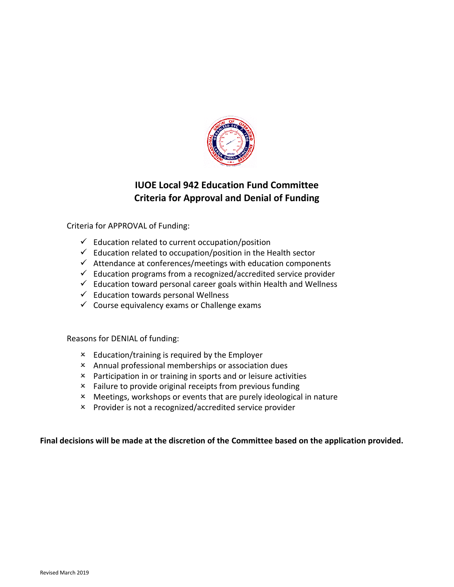

## **IUOE Local 942 Education Fund Committee Criteria for Approval and Denial of Funding**

Criteria for APPROVAL of Funding:

- $\checkmark$  Education related to current occupation/position
- $\checkmark$  Education related to occupation/position in the Health sector
- $\checkmark$  Attendance at conferences/meetings with education components
- $\checkmark$  Education programs from a recognized/accredited service provider
- $\checkmark$  Education toward personal career goals within Health and Wellness
- $\checkmark$  Education towards personal Wellness
- $\checkmark$  Course equivalency exams or Challenge exams

Reasons for DENIAL of funding:

- Education/training is required by the Employer
- Annual professional memberships or association dues
- Participation in or training in sports and or leisure activities
- Failure to provide original receipts from previous funding
- Meetings, workshops or events that are purely ideological in nature
- Provider is not a recognized/accredited service provider

### **Final decisions will be made at the discretion of the Committee based on the application provided.**